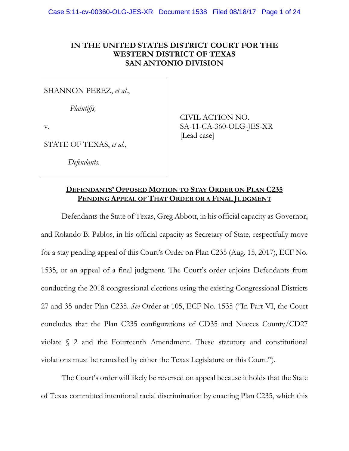# **IN THE UNITED STATES DISTRICT COURT FOR THE WESTERN DISTRICT OF TEXAS SAN ANTONIO DIVISION**

SHANNON PEREZ, *et al.*,

*Plaintiffs,*

v.

STATE OF TEXAS, *et al.*,

*Defendants*.

CIVIL ACTION NO. SA-11-CA-360-OLG-JES-XR [Lead case]

# **DEFENDANTS' OPPOSED MOTION TO STAY ORDER ON PLAN C235 PENDING APPEAL OF THAT ORDER OR A FINAL JUDGMENT**

Defendants the State of Texas, Greg Abbott, in his official capacity as Governor, and Rolando B. Pablos, in his official capacity as Secretary of State, respectfully move for a stay pending appeal of this Court's Order on Plan C235 (Aug. 15, 2017), ECF No. 1535, or an appeal of a final judgment. The Court's order enjoins Defendants from conducting the 2018 congressional elections using the existing Congressional Districts 27 and 35 under Plan C235. *See* Order at 105, ECF No. 1535 ("In Part VI, the Court concludes that the Plan C235 configurations of CD35 and Nueces County/CD27 violate § 2 and the Fourteenth Amendment. These statutory and constitutional violations must be remedied by either the Texas Legislature or this Court.").

The Court's order will likely be reversed on appeal because it holds that the State of Texas committed intentional racial discrimination by enacting Plan C235, which this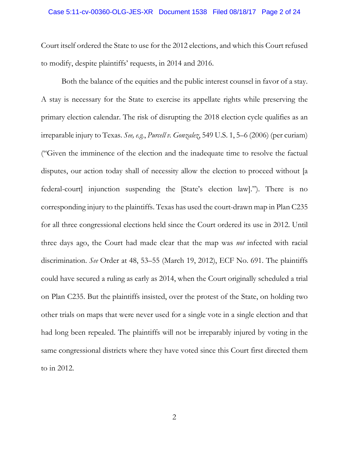#### Case 5:11-cv-00360-OLG-JES-XR Document 1538 Filed 08/18/17 Page 2 of 24

Court itself ordered the State to use for the 2012 elections, and which this Court refused to modify, despite plaintiffs' requests, in 2014 and 2016.

Both the balance of the equities and the public interest counsel in favor of a stay. A stay is necessary for the State to exercise its appellate rights while preserving the primary election calendar. The risk of disrupting the 2018 election cycle qualifies as an irreparable injury to Texas. *See, e.g.*, *Purcell v. Gonzalez*, 549 U.S. 1, 5–6 (2006) (per curiam) ("Given the imminence of the election and the inadequate time to resolve the factual disputes, our action today shall of necessity allow the election to proceed without [a federal-court] injunction suspending the [State's election law]."). There is no corresponding injury to the plaintiffs. Texas has used the court-drawn map in Plan C235 for all three congressional elections held since the Court ordered its use in 2012. Until three days ago, the Court had made clear that the map was *not* infected with racial discrimination. *See* Order at 48, 53–55 (March 19, 2012), ECF No. 691. The plaintiffs could have secured a ruling as early as 2014, when the Court originally scheduled a trial on Plan C235. But the plaintiffs insisted, over the protest of the State, on holding two other trials on maps that were never used for a single vote in a single election and that had long been repealed. The plaintiffs will not be irreparably injured by voting in the same congressional districts where they have voted since this Court first directed them to in 2012.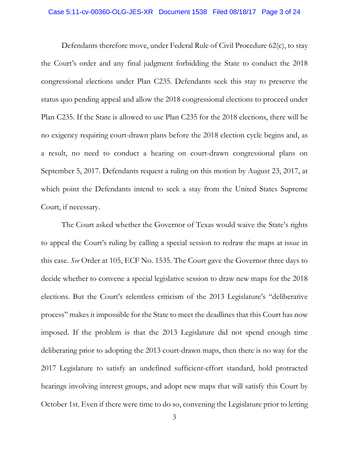#### Case 5:11-cv-00360-OLG-JES-XR Document 1538 Filed 08/18/17 Page 3 of 24

Defendants therefore move, under Federal Rule of Civil Procedure 62(c), to stay the Court's order and any final judgment forbidding the State to conduct the 2018 congressional elections under Plan C235. Defendants seek this stay to preserve the status quo pending appeal and allow the 2018 congressional elections to proceed under Plan C235. If the State is allowed to use Plan C235 for the 2018 elections, there will be no exigency requiring court-drawn plans before the 2018 election cycle begins and, as a result, no need to conduct a hearing on court-drawn congressional plans on September 5, 2017. Defendants request a ruling on this motion by August 23, 2017, at which point the Defendants intend to seek a stay from the United States Supreme Court, if necessary.

The Court asked whether the Governor of Texas would waive the State's rights to appeal the Court's ruling by calling a special session to redraw the maps at issue in this case. *See* Order at 105, ECF No. 1535. The Court gave the Governor three days to decide whether to convene a special legislative session to draw new maps for the 2018 elections. But the Court's relentless criticism of the 2013 Legislature's "deliberative process" makes it impossible for the State to meet the deadlines that this Court has now imposed. If the problem is that the 2013 Legislature did not spend enough time deliberating prior to adopting the 2013 court-drawn maps, then there is no way for the 2017 Legislature to satisfy an undefined sufficient-effort standard, hold protracted hearings involving interest groups, and adopt new maps that will satisfy this Court by October 1st. Even if there were time to do so, convening the Legislature prior to letting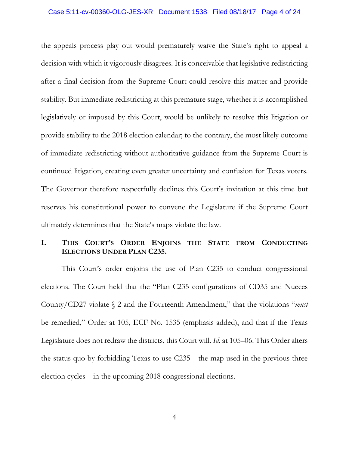#### Case 5:11-cv-00360-OLG-JES-XR Document 1538 Filed 08/18/17 Page 4 of 24

the appeals process play out would prematurely waive the State's right to appeal a decision with which it vigorously disagrees. It is conceivable that legislative redistricting after a final decision from the Supreme Court could resolve this matter and provide stability. But immediate redistricting at this premature stage, whether it is accomplished legislatively or imposed by this Court, would be unlikely to resolve this litigation or provide stability to the 2018 election calendar; to the contrary, the most likely outcome of immediate redistricting without authoritative guidance from the Supreme Court is continued litigation, creating even greater uncertainty and confusion for Texas voters. The Governor therefore respectfully declines this Court's invitation at this time but reserves his constitutional power to convene the Legislature if the Supreme Court ultimately determines that the State's maps violate the law.

# **I. THIS COURT'S ORDER ENJOINS THE STATE FROM CONDUCTING ELECTIONS UNDER PLAN C235.**

This Court's order enjoins the use of Plan C235 to conduct congressional elections. The Court held that the "Plan C235 configurations of CD35 and Nueces County/CD27 violate § 2 and the Fourteenth Amendment," that the violations "*must* be remedied," Order at 105, ECF No. 1535 (emphasis added), and that if the Texas Legislature does not redraw the districts, this Court will. *Id.* at 105–06. This Order alters the status quo by forbidding Texas to use C235—the map used in the previous three election cycles—in the upcoming 2018 congressional elections.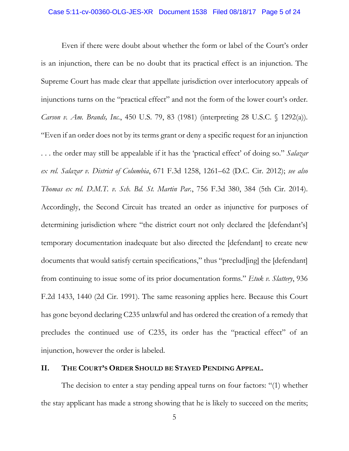Even if there were doubt about whether the form or label of the Court's order is an injunction, there can be no doubt that its practical effect is an injunction. The Supreme Court has made clear that appellate jurisdiction over interlocutory appeals of injunctions turns on the "practical effect" and not the form of the lower court's order. *Carson v. Am. Brands, Inc.*, 450 U.S. 79, 83 (1981) (interpreting 28 U.S.C. § 1292(a)). "Even if an order does not by its terms grant or deny a specific request for an injunction . . . the order may still be appealable if it has the 'practical effect' of doing so." *Salazar ex rel. Salazar v. District of Columbia*, 671 F.3d 1258, 1261–62 (D.C. Cir. 2012); *see also Thomas ex rel. D.M.T. v. Sch. Bd. St. Martin Par.*, 756 F.3d 380, 384 (5th Cir. 2014). Accordingly, the Second Circuit has treated an order as injunctive for purposes of determining jurisdiction where "the district court not only declared the [defendant's] temporary documentation inadequate but also directed the [defendant] to create new documents that would satisfy certain specifications," thus "preclud[ing] the [defendant] from continuing to issue some of its prior documentation forms." *Etuk v. Slattery*, 936 F.2d 1433, 1440 (2d Cir. 1991). The same reasoning applies here. Because this Court has gone beyond declaring C235 unlawful and has ordered the creation of a remedy that precludes the continued use of C235, its order has the "practical effect" of an injunction, however the order is labeled.

## **II. THE COURT'S ORDER SHOULD BE STAYED PENDING APPEAL.**

The decision to enter a stay pending appeal turns on four factors: "(1) whether the stay applicant has made a strong showing that he is likely to succeed on the merits;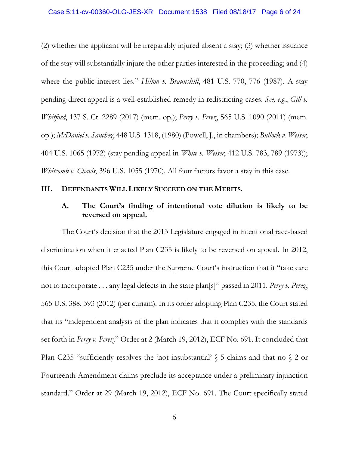(2) whether the applicant will be irreparably injured absent a stay; (3) whether issuance of the stay will substantially injure the other parties interested in the proceeding; and (4) where the public interest lies." *Hilton v. Braunskill*, 481 U.S. 770, 776 (1987). A stay pending direct appeal is a well-established remedy in redistricting cases. *See, e.g.*, *Gill v. Whitford*, 137 S. Ct. 2289 (2017) (mem. op.); *Perry v. Perez*, 565 U.S. 1090 (2011) (mem. op.); *McDaniel v. Sanchez*, 448 U.S. 1318, (1980) (Powell, J., in chambers); *Bullock v. Weiser*, 404 U.S. 1065 (1972) (stay pending appeal in *White v. Weiser*, 412 U.S. 783, 789 (1973)); *Whitcomb v. Chavis*, 396 U.S. 1055 (1970). All four factors favor a stay in this case.

## **III. DEFENDANTS WILL LIKELY SUCCEED ON THE MERITS.**

## **A. The Court's finding of intentional vote dilution is likely to be reversed on appeal.**

The Court's decision that the 2013 Legislature engaged in intentional race-based discrimination when it enacted Plan C235 is likely to be reversed on appeal. In 2012, this Court adopted Plan C235 under the Supreme Court's instruction that it "take care not to incorporate . . . any legal defects in the state plan[s]" passed in 2011. *Perry v. Perez*, 565 U.S. 388, 393 (2012) (per curiam). In its order adopting Plan C235, the Court stated that its "independent analysis of the plan indicates that it complies with the standards set forth in *Perry v. Perez*." Order at 2 (March 19, 2012), ECF No. 691. It concluded that Plan C235 "sufficiently resolves the 'not insubstantial'  $\S$  5 claims and that no  $\S$  2 or Fourteenth Amendment claims preclude its acceptance under a preliminary injunction standard." Order at 29 (March 19, 2012), ECF No. 691. The Court specifically stated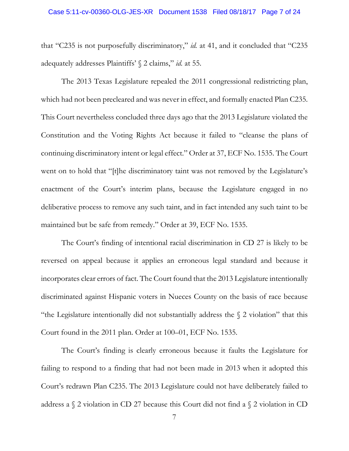that "C235 is not purposefully discriminatory," *id.* at 41, and it concluded that "C235 adequately addresses Plaintiffs' § 2 claims," *id.* at 55.

The 2013 Texas Legislature repealed the 2011 congressional redistricting plan, which had not been precleared and was never in effect, and formally enacted Plan C235. This Court nevertheless concluded three days ago that the 2013 Legislature violated the Constitution and the Voting Rights Act because it failed to "cleanse the plans of continuing discriminatory intent or legal effect." Order at 37, ECF No. 1535. The Court went on to hold that "[t]he discriminatory taint was not removed by the Legislature's enactment of the Court's interim plans, because the Legislature engaged in no deliberative process to remove any such taint, and in fact intended any such taint to be maintained but be safe from remedy." Order at 39, ECF No. 1535.

The Court's finding of intentional racial discrimination in CD 27 is likely to be reversed on appeal because it applies an erroneous legal standard and because it incorporates clear errors of fact. The Court found that the 2013 Legislature intentionally discriminated against Hispanic voters in Nueces County on the basis of race because "the Legislature intentionally did not substantially address the § 2 violation" that this Court found in the 2011 plan. Order at 100–01, ECF No. 1535.

The Court's finding is clearly erroneous because it faults the Legislature for failing to respond to a finding that had not been made in 2013 when it adopted this Court's redrawn Plan C235. The 2013 Legislature could not have deliberately failed to address a  $\Diamond$  2 violation in CD 27 because this Court did not find a  $\Diamond$  2 violation in CD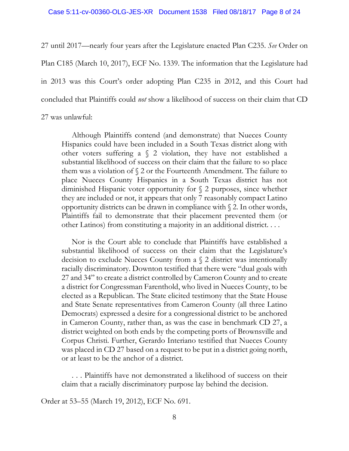27 until 2017—nearly four years after the Legislature enacted Plan C235. *See* Order on Plan C185 (March 10, 2017), ECF No. 1339. The information that the Legislature had in 2013 was this Court's order adopting Plan C235 in 2012, and this Court had concluded that Plaintiffs could *not* show a likelihood of success on their claim that CD 27 was unlawful:

Although Plaintiffs contend (and demonstrate) that Nueces County Hispanics could have been included in a South Texas district along with other voters suffering a § 2 violation, they have not established a substantial likelihood of success on their claim that the failure to so place them was a violation of § 2 or the Fourteenth Amendment. The failure to place Nueces County Hispanics in a South Texas district has not diminished Hispanic voter opportunity for § 2 purposes, since whether they are included or not, it appears that only 7 reasonably compact Latino opportunity districts can be drawn in compliance with § 2. In other words, Plaintiffs fail to demonstrate that their placement prevented them (or other Latinos) from constituting a majority in an additional district. . . .

Nor is the Court able to conclude that Plaintiffs have established a substantial likelihood of success on their claim that the Legislature's decision to exclude Nueces County from a § 2 district was intentionally racially discriminatory. Downton testified that there were "dual goals with 27 and 34" to create a district controlled by Cameron County and to create a district for Congressman Farenthold, who lived in Nueces County, to be elected as a Republican. The State elicited testimony that the State House and State Senate representatives from Cameron County (all three Latino Democrats) expressed a desire for a congressional district to be anchored in Cameron County, rather than, as was the case in benchmark CD 27, a district weighted on both ends by the competing ports of Brownsville and Corpus Christi. Further, Gerardo Interiano testified that Nueces County was placed in CD 27 based on a request to be put in a district going north, or at least to be the anchor of a district.

. . . Plaintiffs have not demonstrated a likelihood of success on their claim that a racially discriminatory purpose lay behind the decision.

Order at 53–55 (March 19, 2012), ECF No. 691.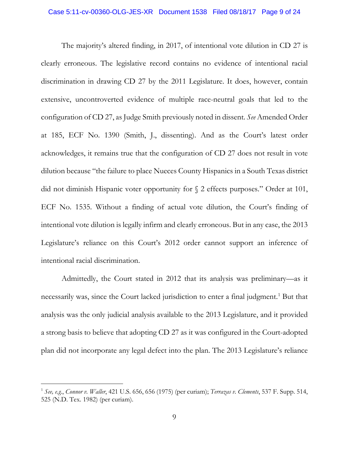The majority's altered finding, in 2017, of intentional vote dilution in CD 27 is clearly erroneous. The legislative record contains no evidence of intentional racial discrimination in drawing CD 27 by the 2011 Legislature. It does, however, contain extensive, uncontroverted evidence of multiple race-neutral goals that led to the configuration of CD 27, as Judge Smith previously noted in dissent. *See* Amended Order at 185, ECF No. 1390 (Smith, J., dissenting). And as the Court's latest order acknowledges, it remains true that the configuration of CD 27 does not result in vote dilution because "the failure to place Nueces County Hispanics in a South Texas district did not diminish Hispanic voter opportunity for § 2 effects purposes." Order at 101, ECF No. 1535. Without a finding of actual vote dilution, the Court's finding of intentional vote dilution is legally infirm and clearly erroneous. But in any case, the 2013 Legislature's reliance on this Court's 2012 order cannot support an inference of intentional racial discrimination.

Admittedly, the Court stated in 2012 that its analysis was preliminary—as it necessarily was, since the Court lacked jurisdiction to enter a final judgment.<sup>[1](#page-8-0)</sup> But that analysis was the only judicial analysis available to the 2013 Legislature, and it provided a strong basis to believe that adopting CD 27 as it was configured in the Court-adopted plan did not incorporate any legal defect into the plan. The 2013 Legislature's reliance

<span id="page-8-0"></span> <sup>1</sup> *See, e.g.*, *Connor v. Waller*, 421 U.S. 656, 656 (1975) (per curiam); *Terrazas v. Clements*, 537 F. Supp. 514, 525 (N.D. Tex. 1982) (per curiam).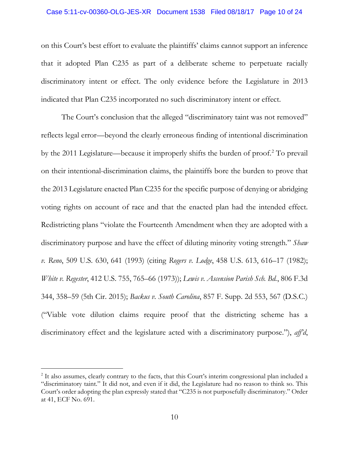## Case 5:11-cv-00360-OLG-JES-XR Document 1538 Filed 08/18/17 Page 10 of 24

on this Court's best effort to evaluate the plaintiffs' claims cannot support an inference that it adopted Plan C235 as part of a deliberate scheme to perpetuate racially discriminatory intent or effect. The only evidence before the Legislature in 2013 indicated that Plan C235 incorporated no such discriminatory intent or effect.

The Court's conclusion that the alleged "discriminatory taint was not removed" reflects legal error—beyond the clearly erroneous finding of intentional discrimination by the 2011 Legislature—because it improperly shifts the burden of proof.[2](#page-9-0) To prevail on their intentional-discrimination claims, the plaintiffs bore the burden to prove that the 2013 Legislature enacted Plan C235 for the specific purpose of denying or abridging voting rights on account of race and that the enacted plan had the intended effect. Redistricting plans "violate the Fourteenth Amendment when they are adopted with a discriminatory purpose and have the effect of diluting minority voting strength." *Shaw v. Reno*, 509 U.S. 630, 641 (1993) (citing *Rogers v. Lodge*, 458 U.S. 613, 616–17 (1982); *White v. Regester*, 412 U.S. 755, 765–66 (1973)); *Lewis v. Ascension Parish Sch. Bd.*, 806 F.3d 344, 358–59 (5th Cir. 2015); *Backus v. South Carolina*, 857 F. Supp. 2d 553, 567 (D.S.C.) ("Viable vote dilution claims require proof that the districting scheme has a discriminatory effect and the legislature acted with a discriminatory purpose."), *aff'd*,

<span id="page-9-0"></span><sup>&</sup>lt;sup>2</sup> It also assumes, clearly contrary to the facts, that this Court's interim congressional plan included a "discriminatory taint." It did not, and even if it did, the Legislature had no reason to think so. This Court's order adopting the plan expressly stated that "C235 is not purposefully discriminatory." Order at 41, ECF No. 691.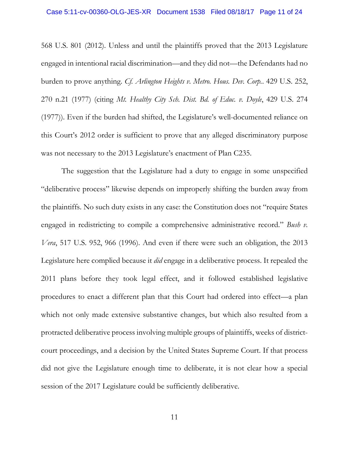568 U.S. 801 (2012). Unless and until the plaintiffs proved that the 2013 Legislature engaged in intentional racial discrimination—and they did not—the Defendants had no burden to prove anything. *Cf. Arlington Heights v. Metro. Hous. Dev. Corp.*. 429 U.S. 252, 270 n.21 (1977) (citing *Mt. Healthy City Sch. Dist. Bd. of Educ. v. Doyle*, 429 U.S. 274 (1977)). Even if the burden had shifted, the Legislature's well-documented reliance on this Court's 2012 order is sufficient to prove that any alleged discriminatory purpose was not necessary to the 2013 Legislature's enactment of Plan C235.

The suggestion that the Legislature had a duty to engage in some unspecified "deliberative process" likewise depends on improperly shifting the burden away from the plaintiffs. No such duty exists in any case: the Constitution does not "require States engaged in redistricting to compile a comprehensive administrative record." *Bush v. Vera*, 517 U.S. 952, 966 (1996). And even if there were such an obligation, the 2013 Legislature here complied because it *did* engage in a deliberative process. It repealed the 2011 plans before they took legal effect, and it followed established legislative procedures to enact a different plan that this Court had ordered into effect—a plan which not only made extensive substantive changes, but which also resulted from a protracted deliberative process involving multiple groups of plaintiffs, weeks of districtcourt proceedings, and a decision by the United States Supreme Court. If that process did not give the Legislature enough time to deliberate, it is not clear how a special session of the 2017 Legislature could be sufficiently deliberative.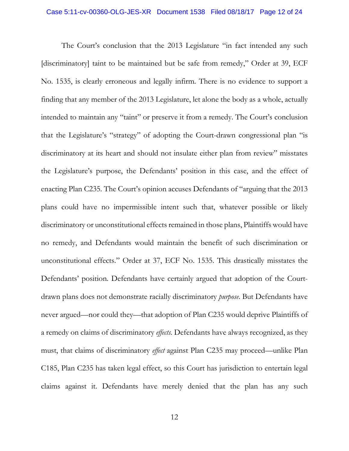The Court's conclusion that the 2013 Legislature "in fact intended any such [discriminatory] taint to be maintained but be safe from remedy," Order at 39, ECF No. 1535, is clearly erroneous and legally infirm. There is no evidence to support a finding that any member of the 2013 Legislature, let alone the body as a whole, actually intended to maintain any "taint" or preserve it from a remedy. The Court's conclusion that the Legislature's "strategy" of adopting the Court-drawn congressional plan "is discriminatory at its heart and should not insulate either plan from review" misstates the Legislature's purpose, the Defendants' position in this case, and the effect of enacting Plan C235. The Court's opinion accuses Defendants of "arguing that the 2013 plans could have no impermissible intent such that, whatever possible or likely discriminatory or unconstitutional effects remained in those plans, Plaintiffs would have no remedy, and Defendants would maintain the benefit of such discrimination or unconstitutional effects." Order at 37, ECF No. 1535. This drastically misstates the Defendants' position. Defendants have certainly argued that adoption of the Courtdrawn plans does not demonstrate racially discriminatory *purpose*. But Defendants have never argued—nor could they—that adoption of Plan C235 would deprive Plaintiffs of a remedy on claims of discriminatory *effects*. Defendants have always recognized, as they must, that claims of discriminatory *effect* against Plan C235 may proceed—unlike Plan C185, Plan C235 has taken legal effect, so this Court has jurisdiction to entertain legal claims against it. Defendants have merely denied that the plan has any such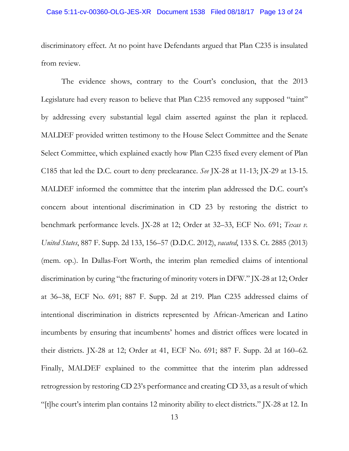discriminatory effect. At no point have Defendants argued that Plan C235 is insulated from review.

The evidence shows, contrary to the Court's conclusion, that the 2013 Legislature had every reason to believe that Plan C235 removed any supposed "taint" by addressing every substantial legal claim asserted against the plan it replaced. MALDEF provided written testimony to the House Select Committee and the Senate Select Committee, which explained exactly how Plan C235 fixed every element of Plan C185 that led the D.C. court to deny preclearance. *See* JX-28 at 11-13; JX-29 at 13-15. MALDEF informed the committee that the interim plan addressed the D.C. court's concern about intentional discrimination in CD 23 by restoring the district to benchmark performance levels. JX-28 at 12; Order at 32–33, ECF No. 691; *Texas v. United States*, 887 F. Supp. 2d 133, 156–57 (D.D.C. 2012), *vacated*, 133 S. Ct. 2885 (2013) (mem. op.). In Dallas-Fort Worth, the interim plan remedied claims of intentional discrimination by curing "the fracturing of minority voters in DFW." JX-28 at 12; Order at 36–38, ECF No. 691; 887 F. Supp. 2d at 219. Plan C235 addressed claims of intentional discrimination in districts represented by African-American and Latino incumbents by ensuring that incumbents' homes and district offices were located in their districts. JX-28 at 12; Order at 41, ECF No. 691; 887 F. Supp. 2d at 160–62. Finally, MALDEF explained to the committee that the interim plan addressed retrogression by restoring CD 23's performance and creating CD 33, as a result of which "[t]he court's interim plan contains 12 minority ability to elect districts." JX-28 at 12. In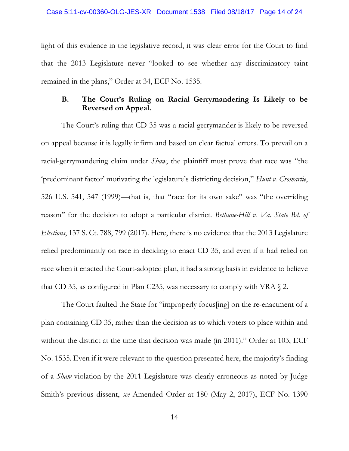light of this evidence in the legislative record, it was clear error for the Court to find that the 2013 Legislature never "looked to see whether any discriminatory taint remained in the plans," Order at 34, ECF No. 1535.

# **B. The Court's Ruling on Racial Gerrymandering Is Likely to be Reversed on Appeal.**

The Court's ruling that CD 35 was a racial gerrymander is likely to be reversed on appeal because it is legally infirm and based on clear factual errors. To prevail on a racial-gerrymandering claim under *Shaw*, the plaintiff must prove that race was "the 'predominant factor' motivating the legislature's districting decision," *Hunt v. Cromartie*, 526 U.S. 541, 547 (1999)—that is, that "race for its own sake" was "the overriding reason" for the decision to adopt a particular district. *Bethune-Hill v. Va. State Bd. of Elections*, 137 S. Ct. 788, 799 (2017). Here, there is no evidence that the 2013 Legislature relied predominantly on race in deciding to enact CD 35, and even if it had relied on race when it enacted the Court-adopted plan, it had a strong basis in evidence to believe that CD 35, as configured in Plan C235, was necessary to comply with VRA  $\Diamond$  2.

The Court faulted the State for "improperly focus[ing] on the re-enactment of a plan containing CD 35, rather than the decision as to which voters to place within and without the district at the time that decision was made (in 2011)." Order at 103, ECF No. 1535. Even if it were relevant to the question presented here, the majority's finding of a *Shaw* violation by the 2011 Legislature was clearly erroneous as noted by Judge Smith's previous dissent, *see* Amended Order at 180 (May 2, 2017), ECF No. 1390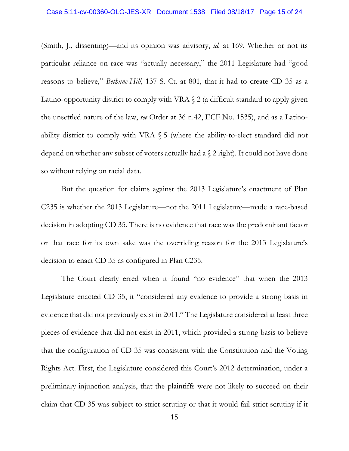(Smith, J., dissenting)—and its opinion was advisory, *id.* at 169. Whether or not its particular reliance on race was "actually necessary," the 2011 Legislature had "good reasons to believe," *Bethune-Hill*, 137 S. Ct. at 801, that it had to create CD 35 as a Latino-opportunity district to comply with VRA  $\S$  2 (a difficult standard to apply given the unsettled nature of the law, *see* Order at 36 n.42, ECF No. 1535), and as a Latinoability district to comply with VRA  $\S$  5 (where the ability-to-elect standard did not depend on whether any subset of voters actually had a § 2 right). It could not have done so without relying on racial data.

But the question for claims against the 2013 Legislature's enactment of Plan C235 is whether the 2013 Legislature—not the 2011 Legislature—made a race-based decision in adopting CD 35. There is no evidence that race was the predominant factor or that race for its own sake was the overriding reason for the 2013 Legislature's decision to enact CD 35 as configured in Plan C235.

The Court clearly erred when it found "no evidence" that when the 2013 Legislature enacted CD 35, it "considered any evidence to provide a strong basis in evidence that did not previously exist in 2011." The Legislature considered at least three pieces of evidence that did not exist in 2011, which provided a strong basis to believe that the configuration of CD 35 was consistent with the Constitution and the Voting Rights Act. First, the Legislature considered this Court's 2012 determination, under a preliminary-injunction analysis, that the plaintiffs were not likely to succeed on their claim that CD 35 was subject to strict scrutiny or that it would fail strict scrutiny if it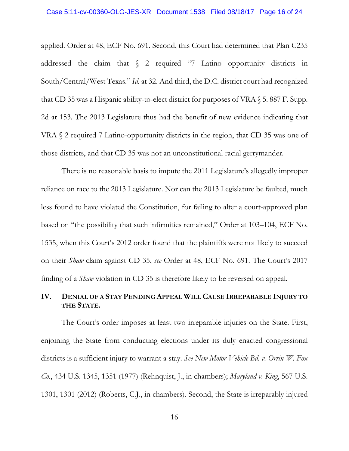applied. Order at 48, ECF No. 691. Second, this Court had determined that Plan C235 addressed the claim that § 2 required "7 Latino opportunity districts in South/Central/West Texas." *Id.* at 32. And third, the D.C. district court had recognized that CD 35 was a Hispanic ability-to-elect district for purposes of VRA § 5. 887 F. Supp. 2d at 153. The 2013 Legislature thus had the benefit of new evidence indicating that VRA § 2 required 7 Latino-opportunity districts in the region, that CD 35 was one of those districts, and that CD 35 was not an unconstitutional racial gerrymander.

There is no reasonable basis to impute the 2011 Legislature's allegedly improper reliance on race to the 2013 Legislature. Nor can the 2013 Legislature be faulted, much less found to have violated the Constitution, for failing to alter a court-approved plan based on "the possibility that such infirmities remained," Order at 103–104, ECF No. 1535, when this Court's 2012 order found that the plaintiffs were not likely to succeed on their *Shaw* claim against CD 35, *see* Order at 48, ECF No. 691. The Court's 2017 finding of a *Shaw* violation in CD 35 is therefore likely to be reversed on appeal.

# **IV. DENIAL OF A STAY PENDING APPEAL WILL CAUSE IRREPARABLE INJURY TO THE STATE.**

The Court's order imposes at least two irreparable injuries on the State. First, enjoining the State from conducting elections under its duly enacted congressional districts is a sufficient injury to warrant a stay. *See New Motor Vehicle Bd. v. Orrin W. Fox Co.*, 434 U.S. 1345, 1351 (1977) (Rehnquist, J., in chambers); *Maryland v. King*, 567 U.S. 1301, 1301 (2012) (Roberts, C.J., in chambers). Second, the State is irreparably injured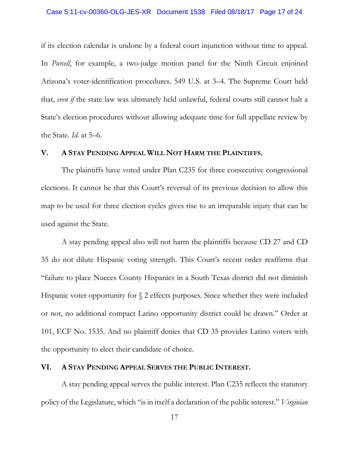if its election calendar is undone by a federal court injunction without time to appeal. In *Purcell*, for example, a two-judge motion panel for the Ninth Circuit enjoined Arizona's voter-identification procedures. 549 U.S. at 3–4. The Supreme Court held that, *even if* the state law was ultimately held unlawful, federal courts still cannot halt a State's election procedures without allowing adequate time for full appellate review by the State. *Id.* at 5–6.

## **V. A STAY PENDING APPEAL WILL NOT HARM THE PLAINTIFFS.**

The plaintiffs have voted under Plan C235 for three consecutive congressional elections. It cannot be that this Court's reversal of its previous decision to allow this map to be used for three election cycles gives rise to an irreparable injury that can be used against the State.

A stay pending appeal also will not harm the plaintiffs because CD 27 and CD 35 do not dilute Hispanic voting strength. This Court's recent order reaffirms that "failure to place Nueces County Hispanics in a South Texas district did not diminish Hispanic voter opportunity for  $\S$  2 effects purposes. Since whether they were included or not, no additional compact Latino opportunity district could be drawn." Order at 101, ECF No. 1535. And no plaintiff denies that CD 35 provides Latino voters with the opportunity to elect their candidate of choice.

#### **VI. A STAY PENDING APPEAL SERVES THE PUBLIC INTEREST.**

A stay pending appeal serves the public interest. Plan C235 reflects the statutory policy of the Legislature, which "is in itself a declaration of the public interest." *Virginian*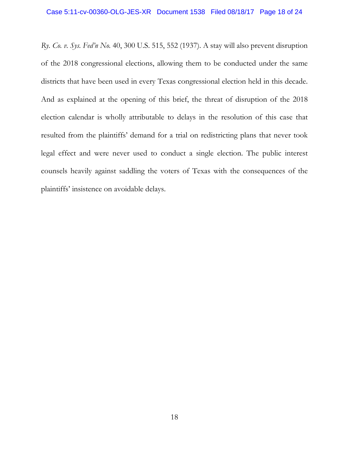*Ry. Co. v. Sys. Fed'n No.* 40, 300 U.S. 515, 552 (1937). A stay will also prevent disruption of the 2018 congressional elections, allowing them to be conducted under the same districts that have been used in every Texas congressional election held in this decade. And as explained at the opening of this brief, the threat of disruption of the 2018 election calendar is wholly attributable to delays in the resolution of this case that resulted from the plaintiffs' demand for a trial on redistricting plans that never took legal effect and were never used to conduct a single election. The public interest counsels heavily against saddling the voters of Texas with the consequences of the plaintiffs' insistence on avoidable delays.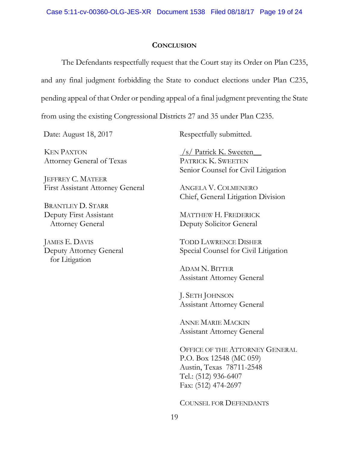## **CONCLUSION**

The Defendants respectfully request that the Court stay its Order on Plan C235, and any final judgment forbidding the State to conduct elections under Plan C235, pending appeal of that Order or pending appeal of a final judgment preventing the State from using the existing Congressional Districts 27 and 35 under Plan C235.

KEN PAXTON Attorney General of Texas

JEFFREY C. MATEER First Assistant Attorney General

BRANTLEY D. STARR Deputy First Assistant Attorney General

JAMES E. DAVIS Deputy Attorney General for Litigation

Date: August 18, 2017 Respectfully submitted.

 $\frac{\sqrt{s}}{\sqrt{s}}$  Patrick K. Sweeten PATRICK K. SWEETEN Senior Counsel for Civil Litigation

ANGELA V. COLMENERO Chief, General Litigation Division

MATTHEW H. FREDERICK Deputy Solicitor General

TODD LAWRENCE DISHER Special Counsel for Civil Litigation

ADAM N. BITTER Assistant Attorney General

J. SETH JOHNSON Assistant Attorney General

ANNE MARIE MACKIN Assistant Attorney General

OFFICE OF THE ATTORNEY GENERAL P.O. Box 12548 (MC 059) Austin, Texas 78711-2548 Tel.: (512) 936-6407 Fax: (512) 474-2697

COUNSEL FOR DEFENDANTS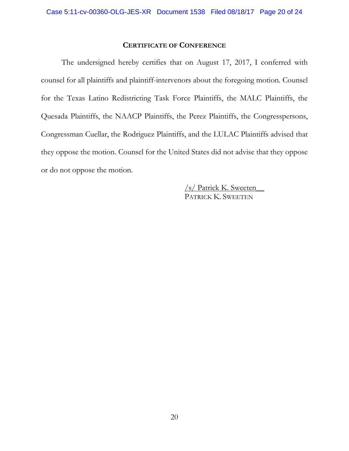## **CERTIFICATE OF CONFERENCE**

The undersigned hereby certifies that on August 17, 2017, I conferred with counsel for all plaintiffs and plaintiff-intervenors about the foregoing motion. Counsel for the Texas Latino Redistricting Task Force Plaintiffs, the MALC Plaintiffs, the Quesada Plaintiffs, the NAACP Plaintiffs, the Perez Plaintiffs, the Congresspersons, Congressman Cuellar, the Rodriguez Plaintiffs, and the LULAC Plaintiffs advised that they oppose the motion. Counsel for the United States did not advise that they oppose or do not oppose the motion.

> /s/ Patrick K. Sweeten\_\_ PATRICK K. SWEETEN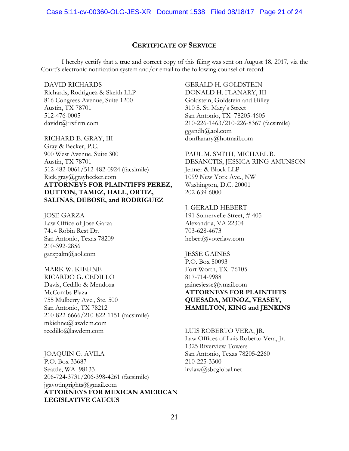## **CERTIFICATE OF SERVICE**

I hereby certify that a true and correct copy of this filing was sent on August 18, 2017, via the Court's electronic notification system and/or email to the following counsel of record:

DAVID RICHARDS Richards, Rodriguez & Skeith LLP 816 Congress Avenue, Suite 1200 Austin, TX 78701 512-476-0005 davidr@rrsfirm.com

RICHARD E. GRAY, III Gray & Becker, P.C. 900 West Avenue, Suite 300 Austin, TX 78701 512-482-0061/512-482-0924 (facsimile) Rick.gray@graybecker.com **ATTORNEYS FOR PLAINTIFFS PEREZ, DUTTON, TAMEZ, HALL, ORTIZ, SALINAS, DEBOSE, and RODRIGUEZ**

JOSE GARZA Law Office of Jose Garza 7414 Robin Rest Dr. San Antonio, Texas 78209 210-392-2856 garzpalm@aol.com

MARK W. KIEHNE RICARDO G. CEDILLO Davis, Cedillo & Mendoza McCombs Plaza 755 Mulberry Ave., Ste. 500 San Antonio, TX 78212 210-822-6666/210-822-1151 (facsimile) mkiehne@lawdcm.com rcedillo@lawdcm.com

JOAQUIN G. AVILA P.O. Box 33687 Seattle, WA 98133 206-724-3731/206-398-4261 (facsimile) jgavotingrights@gmail.com **ATTORNEYS FOR MEXICAN AMERICAN LEGISLATIVE CAUCUS**

#### GERALD H. GOLDSTEIN

DONALD H. FLANARY, III Goldstein, Goldstein and Hilley 310 S. St. Mary's Street San Antonio, TX 78205-4605 210-226-1463/210-226-8367 (facsimile) ggandh@aol.com donflanary@hotmail.com

PAUL M. SMITH, MICHAEL B. DESANCTIS, JESSICA RING AMUNSON Jenner & Block LLP 1099 New York Ave., NW Washington, D.C. 20001 202-639-6000

#### J. GERALD HEBERT

191 Somervelle Street, # 405 Alexandria, VA 22304 703-628-4673 hebert@voterlaw.com

JESSE GAINES P.O. Box 50093 Fort Worth, TX 76105 817-714-9988 gainesjesse@ymail.com **ATTORNEYS FOR PLAINTIFFS QUESADA, MUNOZ, VEASEY, HAMILTON, KING and JENKINS** 

LUIS ROBERTO VERA, JR. Law Offices of Luis Roberto Vera, Jr. 1325 Riverview Towers San Antonio, Texas 78205-2260 210-225-3300 lrvlaw@sbcglobal.net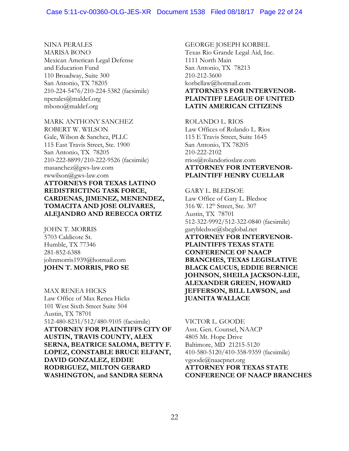## NINA PERALES

MARISA BONO Mexican American Legal Defense and Education Fund 110 Broadway, Suite 300 San Antonio, TX 78205 210-224-5476/210-224-5382 (facsimile) nperales@maldef.org mbono@maldef.org

MARK ANTHONY SANCHEZ ROBERT W. WILSON Gale, Wilson & Sanchez, PLLC 115 East Travis Street, Ste. 1900 San Antonio, TX 78205 210-222-8899/210-222-9526 (facsimile) masanchez@gws-law.com rwwilson@gws-law.com **ATTORNEYS FOR TEXAS LATINO REDISTRICTING TASK FORCE, CARDENAS, JIMENEZ, MENENDEZ, TOMACITA AND JOSE OLIVARES, ALEJANDRO AND REBECCA ORTIZ** 

JOHN T. MORRIS 5703 Caldicote St. Humble, TX 77346 281-852-6388 johnmorris1939@hotmail.com **JOHN T. MORRIS, PRO SE**

MAX RENEA HICKS Law Office of Max Renea Hicks 101 West Sixth Street Suite 504 Austin, TX 78701 512-480-8231/512/480-9105 (facsimile) **ATTORNEY FOR PLAINTIFFS CITY OF AUSTIN, TRAVIS COUNTY, ALEX SERNA, BEATRICE SALOMA, BETTY F. LOPEZ, CONSTABLE BRUCE ELFANT, DAVID GONZALEZ, EDDIE RODRIGUEZ, MILTON GERARD WASHINGTON, and SANDRA SERNA**

GEORGE JOSEPH KORBEL Texas Rio Grande Legal Aid, Inc. 1111 North Main San Antonio, TX 78213 210-212-3600 korbellaw@hotmail.com **ATTORNEYS FOR INTERVENOR-PLAINTIFF LEAGUE OF UNITED LATIN AMERICAN CITIZENS** 

ROLANDO L. RIOS Law Offices of Rolando L. Rios 115 E Travis Street, Suite 1645 San Antonio, TX 78205 210-222-2102 rrios@rolandorioslaw.com **ATTORNEY FOR INTERVENOR-PLAINTIFF HENRY CUELLAR**

GARY L. BLEDSOE Law Office of Gary L. Bledsoe 316 W. 12<sup>th</sup> Street, Ste. 307 Austin, TX 78701 512-322-9992/512-322-0840 (facsimile) garybledsoe@sbcglobal.net **ATTORNEY FOR INTERVENOR-PLAINTIFFS TEXAS STATE CONFERENCE OF NAACP BRANCHES, TEXAS LEGISLATIVE BLACK CAUCUS, EDDIE BERNICE JOHNSON, SHEILA JACKSON-LEE, ALEXANDER GREEN, HOWARD JEFFERSON, BILL LAWSON, and JUANITA WALLACE**

VICTOR L. GOODE Asst. Gen. Counsel, NAACP 4805 Mt. Hope Drive Baltimore, MD 21215-5120 410-580-5120/410-358-9359 (facsimile) vgoode@naacpnet.org **ATTORNEY FOR TEXAS STATE CONFERENCE OF NAACP BRANCHES**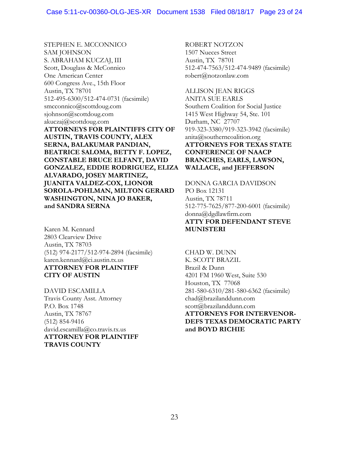STEPHEN E. MCCONNICO SAM JOHNSON S. ABRAHAM KUCZAJ, III Scott, Douglass & McConnico One American Center 600 Congress Ave., 15th Floor Austin, TX 78701 512-495-6300/512-474-0731 (facsimile) smcconnico@scottdoug.com sjohnson@scottdoug.com akuczaj@scottdoug.com **ATTORNEYS FOR PLAINTIFFS CITY OF AUSTIN, TRAVIS COUNTY, ALEX SERNA, BALAKUMAR PANDIAN, BEATRICE SALOMA, BETTY F. LOPEZ, CONSTABLE BRUCE ELFANT, DAVID GONZALEZ, EDDIE RODRIGUEZ, ELIZA ALVARADO, JOSEY MARTINEZ, JUANITA VALDEZ-COX, LIONOR SOROLA-POHLMAN, MILTON GERARD WASHINGTON, NINA JO BAKER, and SANDRA SERNA**

Karen M. Kennard 2803 Clearview Drive Austin, TX 78703 (512) 974-2177/512-974-2894 (facsimile) karen.kennard@ci.austin.tx.us **ATTORNEY FOR PLAINTIFF CITY OF AUSTIN**

DAVID ESCAMILLA Travis County Asst. Attorney P.O. Box 1748 Austin, TX 78767 (512) 854-9416 david.escamilla@co.travis.tx.us **ATTORNEY FOR PLAINTIFF TRAVIS COUNTY**

ROBERT NOTZON 1507 Nueces Street Austin, TX 78701 512-474-7563/512-474-9489 (facsimile) [robert@notzonlaw.com](mailto:robert@notzonlaw.com)

ALLISON JEAN RIGGS ANITA SUE EARLS Southern Coalition for Social Justice 1415 West Highway 54, Ste. 101 Durham, NC 27707 919-323-3380/919-323-3942 (facsimile) anita@southerncoalition.org **ATTORNEYS FOR TEXAS STATE CONFERENCE OF NAACP BRANCHES, EARLS, LAWSON, WALLACE, and JEFFERSON**

DONNA GARCIA DAVIDSON PO Box 12131 Austin, TX 78711 512-775-7625/877-200-6001 (facsimile) donna@dgdlawfirm.com **ATTY FOR DEFENDANT STEVE MUNISTERI**

CHAD W. DUNN K. SCOTT BRAZIL Brazil & Dunn 4201 FM 1960 West, Suite 530 Houston, TX 77068 281-580-6310/281-580-6362 (facsimile) chad@brazilanddunn.com scott@brazilanddunn.com **ATTORNEYS FOR INTERVENOR-DEFS TEXAS DEMOCRATIC PARTY and BOYD RICHIE**